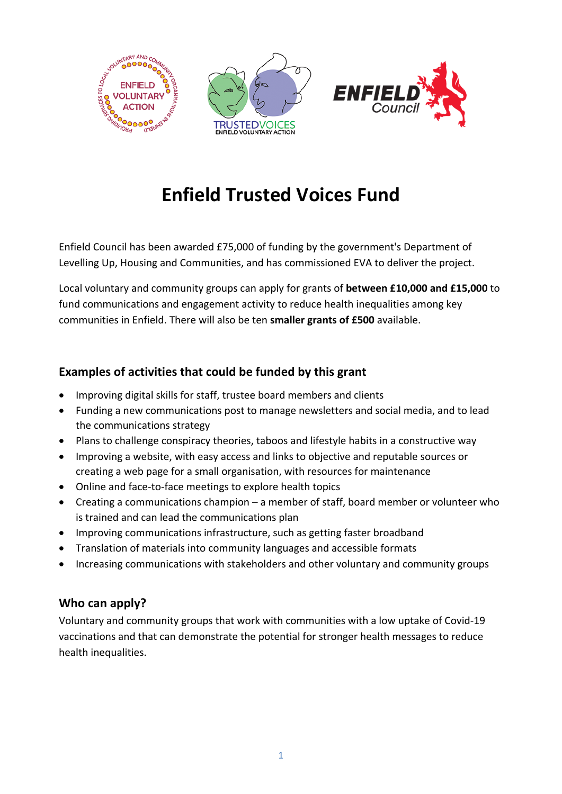

# **Enfield Trusted Voices Fund**

Enfield Council has been awarded £75,000 of funding by the government's Department of Levelling Up, Housing and Communities, and has commissioned EVA to deliver the project.

Local voluntary and community groups can apply for grants of **between £10,000 and £15,000** to fund communications and engagement activity to reduce health inequalities among key communities in Enfield. There will also be ten **smaller grants of £500** available.

## **Examples of activities that could be funded by this grant**

- Improving digital skills for staff, trustee board members and clients
- Funding a new communications post to manage newsletters and social media, and to lead the communications strategy
- Plans to challenge conspiracy theories, taboos and lifestyle habits in a constructive way
- Improving a website, with easy access and links to objective and reputable sources or creating a web page for a small organisation, with resources for maintenance
- Online and face-to-face meetings to explore health topics
- Creating a communications champion a member of staff, board member or volunteer who is trained and can lead the communications plan
- Improving communications infrastructure, such as getting faster broadband
- Translation of materials into community languages and accessible formats
- Increasing communications with stakeholders and other voluntary and community groups

## **Who can apply?**

Voluntary and community groups that work with communities with a low uptake of Covid-19 vaccinations and that can demonstrate the potential for stronger health messages to reduce health inequalities.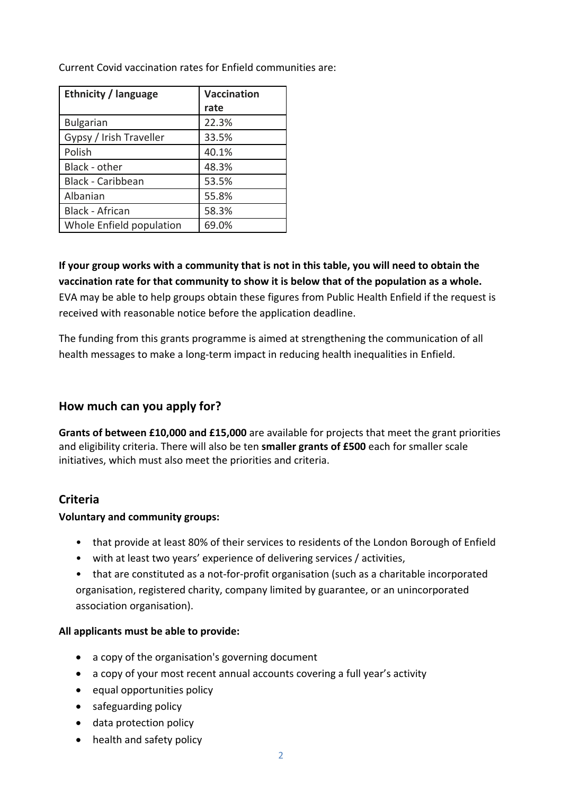Current Covid vaccination rates for Enfield communities are:

| <b>Ethnicity / language</b> | <b>Vaccination</b> |
|-----------------------------|--------------------|
|                             | rate               |
| <b>Bulgarian</b>            | 22.3%              |
| Gypsy / Irish Traveller     | 33.5%              |
| Polish                      | 40.1%              |
| Black - other               | 48.3%              |
| <b>Black - Caribbean</b>    | 53.5%              |
| Albanian                    | 55.8%              |
| <b>Black - African</b>      | 58.3%              |
| Whole Enfield population    | 69.0%              |

**If your group works with a community that is not in this table, you will need to obtain the vaccination rate for that community to show it is below that of the population as a whole.**  EVA may be able to help groups obtain these figures from Public Health Enfield if the request is received with reasonable notice before the application deadline.

The funding from this grants programme is aimed at strengthening the communication of all health messages to make a long-term impact in reducing health inequalities in Enfield.

#### **How much can you apply for?**

**Grants of between £10,000 and £15,000** are available for projects that meet the grant priorities and eligibility criteria. There will also be ten **smaller grants of £500** each for smaller scale initiatives, which must also meet the priorities and criteria.

## **Criteria**

#### **Voluntary and community groups:**

- that provide at least 80% of their services to residents of the London Borough of Enfield
- with at least two years' experience of delivering services / activities,
- that are constituted as a not-for-profit organisation (such as a charitable incorporated organisation, registered charity, company limited by guarantee, or an unincorporated association organisation).

#### **All applicants must be able to provide:**

- a copy of the organisation's governing document
- a copy of your most recent annual accounts covering a full year's activity
- equal opportunities policy
- safeguarding policy
- data protection policy
- health and safety policy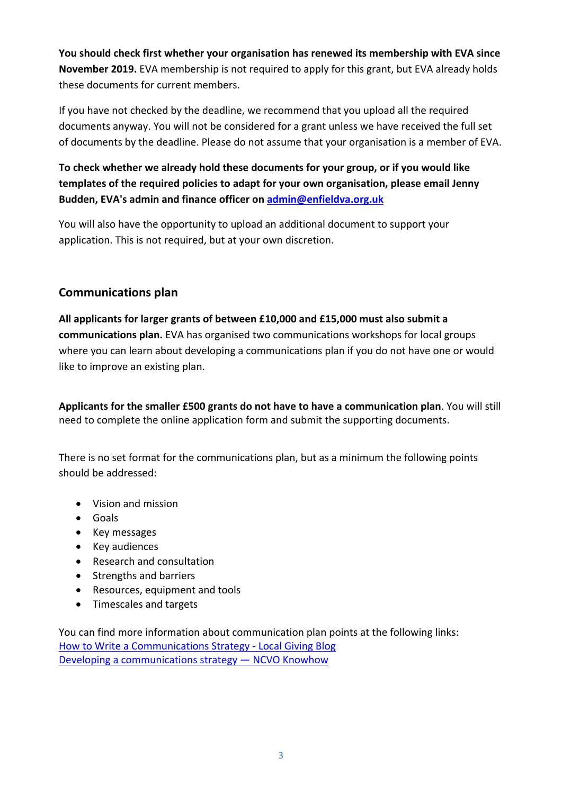**You should check first whether your organisation has renewed its membership with EVA since November 2019.** EVA membership is not required to apply for this grant, but EVA already holds these documents for current members.

If you have not checked by the deadline, we recommend that you upload all the required documents anyway. You will not be considered for a grant unless we have received the full set of documents by the deadline. Please do not assume that your organisation is a member of EVA.

## **To check whether we already hold these documents for your group, or if you would like templates of the required policies to adapt for your own organisation, please email Jenny Budden, EVA's admin and finance officer on [admin@enfieldva.org.uk](mailto:admin@enfieldva.org.uk)**

You will also have the opportunity to upload an additional document to support your application. This is not required, but at your own discretion.

## **Communications plan**

**All applicants for larger grants of between £10,000 and £15,000 must also submit a communications plan.** EVA has organised two communications workshops for local groups where you can learn about developing a communications plan if you do not have one or would like to improve an existing plan.

**Applicants for the smaller £500 grants do not have to have a communication plan**. You will still need to complete the online application form and submit the supporting documents.

There is no set format for the communications plan, but as a minimum the following points should be addressed:

- Vision and mission
- Goals
- Key messages
- Key audiences
- Research and consultation
- Strengths and barriers
- Resources, equipment and tools
- Timescales and targets

You can find more information about communication plan points at the following links: [How to Write a Communications Strategy - Local Giving Blog](https://blog.localgiving.org/blogs/15/145/how-to-write-a-communications-st) [Developing a communications strategy — NCVO Knowhow](https://knowhow.ncvo.org.uk/campaigns/communications/communications-strategy)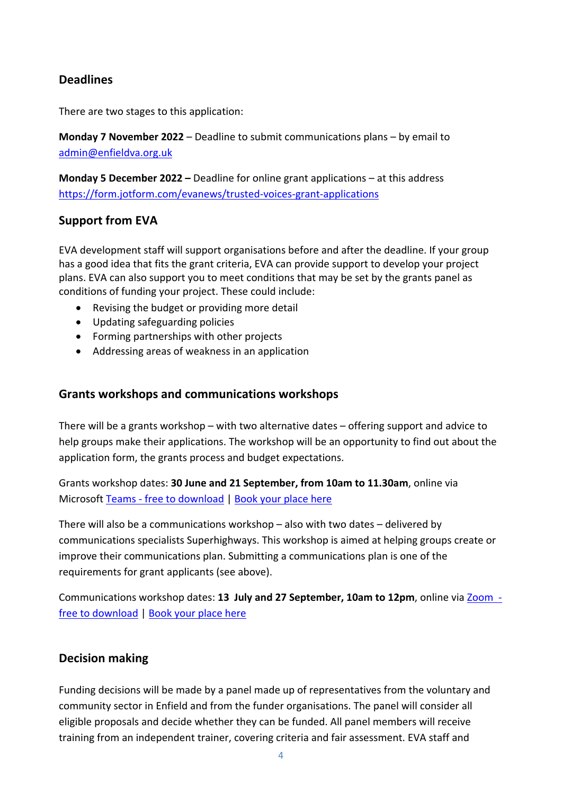#### **Deadlines**

There are two stages to this application:

**Monday 7 November 2022** – Deadline to submit communications plans – by email to [admin@enfieldva.org.uk](mailto:admin@enfieldva.org.uk) 

**Monday 5 December 2022 –** Deadline for online grant applications – at this address <https://form.jotform.com/evanews/trusted-voices-grant-applications>

#### **Support from EVA**

EVA development staff will support organisations before and after the deadline. If your group has a good idea that fits the grant criteria, EVA can provide support to develop your project plans. EVA can also support you to meet conditions that may be set by the grants panel as conditions of funding your project. These could include:

- Revising the budget or providing more detail
- Updating safeguarding policies
- Forming partnerships with other projects
- Addressing areas of weakness in an application

#### **Grants workshops and communications workshops**

There will be a grants workshop – with two alternative dates – offering support and advice to help groups make their applications. The workshop will be an opportunity to find out about the application form, the grants process and budget expectations.

Grants workshop dates: **30 June and 21 September, from 10am to 11.30am**, online via Microsoft [Teams - free to download](https://www.microsoft.com/en-GB/microsoft-365/microsoft-teams/group-chat-software) | [Book your place](https://form.jotform.com/evanews/Trusted-Voices-funding-workshop) here

There will also be a communications workshop – also with two dates – delivered by communications specialists Superhighways. This workshop is aimed at helping groups create or improve their communications plan. Submitting a communications plan is one of the requirements for grant applicants (see above).

Communications workshop dates: **13 July and 27 September, 10am to 12pm**, online via [Zoom](https://zoom.us/download)  [free to download](https://zoom.us/download) | Book your place here

#### **Decision making**

Funding decisions will be made by a panel made up of representatives from the voluntary and community sector in Enfield and from the funder organisations. The panel will consider all eligible proposals and decide whether they can be funded. All panel members will receive training from an independent trainer, covering criteria and fair assessment. EVA staff and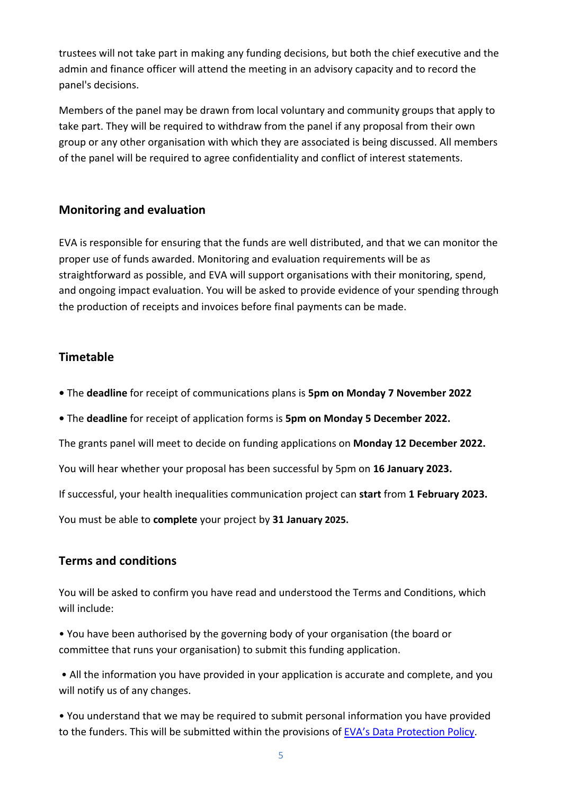trustees will not take part in making any funding decisions, but both the chief executive and the admin and finance officer will attend the meeting in an advisory capacity and to record the panel's decisions.

Members of the panel may be drawn from local voluntary and community groups that apply to take part. They will be required to withdraw from the panel if any proposal from their own group or any other organisation with which they are associated is being discussed. All members of the panel will be required to agree confidentiality and conflict of interest statements.

## **Monitoring and evaluation**

EVA is responsible for ensuring that the funds are well distributed, and that we can monitor the proper use of funds awarded. Monitoring and evaluation requirements will be as straightforward as possible, and EVA will support organisations with their monitoring, spend, and ongoing impact evaluation. You will be asked to provide evidence of your spending through the production of receipts and invoices before final payments can be made.

# **Timetable**

- The **deadline** for receipt of communications plans is **5pm on Monday 7 November 2022**
- The **deadline** for receipt of application forms is **5pm on Monday 5 December 2022.**

The grants panel will meet to decide on funding applications on **Monday 12 December 2022.**

You will hear whether your proposal has been successful by 5pm on **16 January 2023.** 

If successful, your health inequalities communication project can **start** from **1 February 2023.** 

You must be able to **complete** your project by **31 January 2025.** 

# **Terms and conditions**

You will be asked to confirm you have read and understood the Terms and Conditions, which will include:

• You have been authorised by the governing body of your organisation (the board or committee that runs your organisation) to submit this funding application.

• All the information you have provided in your application is accurate and complete, and you will notify us of any changes.

• You understand that we may be required to submit personal information you have provided to the funders. This will be submitted within the provisions of [EVA's Data Protection Policy.](http://bit.ly/3ldMerb)